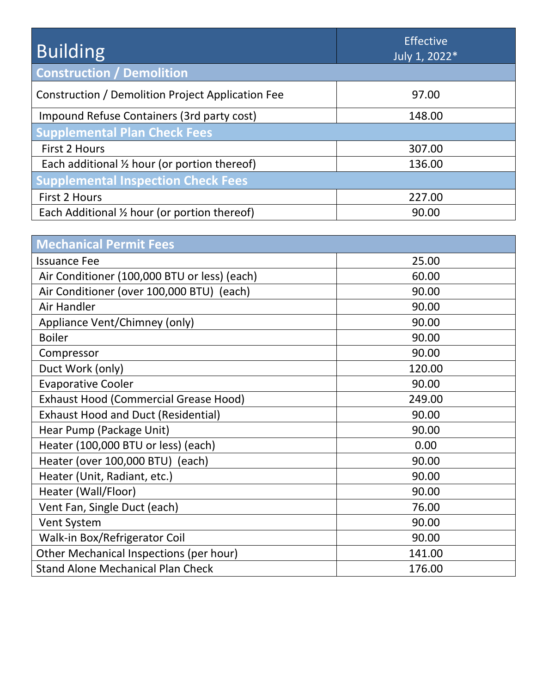| <b>Building</b>                                         | <b>Effective</b><br>July 1, 2022* |
|---------------------------------------------------------|-----------------------------------|
| <b>Construction / Demolition</b>                        |                                   |
| Construction / Demolition Project Application Fee       | 97.00                             |
| Impound Refuse Containers (3rd party cost)              | 148.00                            |
| <b>Supplemental Plan Check Fees</b>                     |                                   |
| <b>First 2 Hours</b>                                    | 307.00                            |
| Each additional $\frac{1}{2}$ hour (or portion thereof) | 136.00                            |
| <b>Supplemental Inspection Check Fees</b>               |                                   |
| <b>First 2 Hours</b>                                    | 227.00                            |
| Each Additional 1/2 hour (or portion thereof)           | 90.00                             |

| <b>Mechanical Permit Fees</b>                |        |
|----------------------------------------------|--------|
| <b>Issuance Fee</b>                          | 25.00  |
| Air Conditioner (100,000 BTU or less) (each) | 60.00  |
| Air Conditioner (over 100,000 BTU) (each)    | 90.00  |
| Air Handler                                  | 90.00  |
| Appliance Vent/Chimney (only)                | 90.00  |
| <b>Boiler</b>                                | 90.00  |
| Compressor                                   | 90.00  |
| Duct Work (only)                             | 120.00 |
| <b>Evaporative Cooler</b>                    | 90.00  |
| <b>Exhaust Hood (Commercial Grease Hood)</b> | 249.00 |
| <b>Exhaust Hood and Duct (Residential)</b>   | 90.00  |
| Hear Pump (Package Unit)                     | 90.00  |
| Heater (100,000 BTU or less) (each)          | 0.00   |
| Heater (over 100,000 BTU) (each)             | 90.00  |
| Heater (Unit, Radiant, etc.)                 | 90.00  |
| Heater (Wall/Floor)                          | 90.00  |
| Vent Fan, Single Duct (each)                 | 76.00  |
| Vent System                                  | 90.00  |
| Walk-in Box/Refrigerator Coil                | 90.00  |
| Other Mechanical Inspections (per hour)      | 141.00 |
| <b>Stand Alone Mechanical Plan Check</b>     | 176.00 |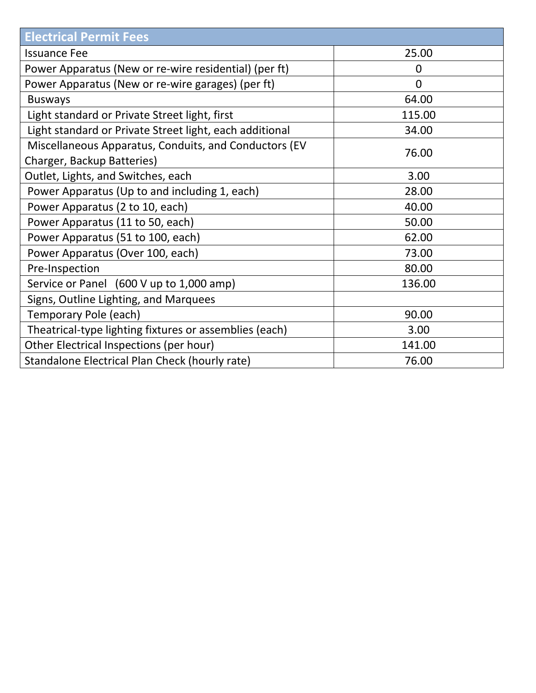| <b>Electrical Permit Fees</b>                                                       |                |
|-------------------------------------------------------------------------------------|----------------|
| <b>Issuance Fee</b>                                                                 | 25.00          |
| Power Apparatus (New or re-wire residential) (per ft)                               | 0              |
| Power Apparatus (New or re-wire garages) (per ft)                                   | $\overline{0}$ |
| <b>Busways</b>                                                                      | 64.00          |
| Light standard or Private Street light, first                                       | 115.00         |
| Light standard or Private Street light, each additional                             | 34.00          |
| Miscellaneous Apparatus, Conduits, and Conductors (EV<br>Charger, Backup Batteries) | 76.00          |
| Outlet, Lights, and Switches, each                                                  | 3.00           |
| Power Apparatus (Up to and including 1, each)                                       | 28.00          |
| Power Apparatus (2 to 10, each)                                                     | 40.00          |
| Power Apparatus (11 to 50, each)                                                    | 50.00          |
| Power Apparatus (51 to 100, each)                                                   | 62.00          |
| Power Apparatus (Over 100, each)                                                    | 73.00          |
| Pre-Inspection                                                                      | 80.00          |
| Service or Panel (600 V up to 1,000 amp)                                            | 136.00         |
| Signs, Outline Lighting, and Marquees                                               |                |
| Temporary Pole (each)                                                               | 90.00          |
| Theatrical-type lighting fixtures or assemblies (each)                              | 3.00           |
| Other Electrical Inspections (per hour)                                             | 141.00         |
| Standalone Electrical Plan Check (hourly rate)                                      | 76.00          |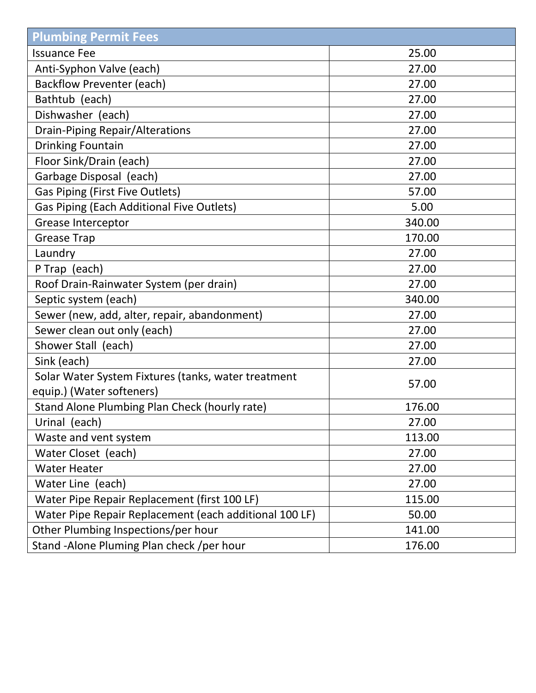| <b>Plumbing Permit Fees</b>                            |        |
|--------------------------------------------------------|--------|
| <b>Issuance Fee</b>                                    | 25.00  |
| Anti-Syphon Valve (each)                               | 27.00  |
| <b>Backflow Preventer (each)</b>                       | 27.00  |
| Bathtub (each)                                         | 27.00  |
| Dishwasher (each)                                      | 27.00  |
| <b>Drain-Piping Repair/Alterations</b>                 | 27.00  |
| <b>Drinking Fountain</b>                               | 27.00  |
| Floor Sink/Drain (each)                                | 27.00  |
| Garbage Disposal (each)                                | 27.00  |
| <b>Gas Piping (First Five Outlets)</b>                 | 57.00  |
| Gas Piping (Each Additional Five Outlets)              | 5.00   |
| <b>Grease Interceptor</b>                              | 340.00 |
| <b>Grease Trap</b>                                     | 170.00 |
| Laundry                                                | 27.00  |
| P Trap (each)                                          | 27.00  |
| Roof Drain-Rainwater System (per drain)                | 27.00  |
| Septic system (each)                                   | 340.00 |
| Sewer (new, add, alter, repair, abandonment)           | 27.00  |
| Sewer clean out only (each)                            | 27.00  |
| Shower Stall (each)                                    | 27.00  |
| Sink (each)                                            | 27.00  |
| Solar Water System Fixtures (tanks, water treatment    | 57.00  |
| equip.) (Water softeners)                              |        |
| Stand Alone Plumbing Plan Check (hourly rate)          | 176.00 |
| Urinal (each)                                          | 27.00  |
| Waste and vent system                                  | 113.00 |
| Water Closet (each)                                    | 27.00  |
| <b>Water Heater</b>                                    | 27.00  |
| Water Line (each)                                      | 27.00  |
| Water Pipe Repair Replacement (first 100 LF)           | 115.00 |
| Water Pipe Repair Replacement (each additional 100 LF) | 50.00  |
| Other Plumbing Inspections/per hour                    | 141.00 |
| Stand - Alone Pluming Plan check / per hour            | 176.00 |